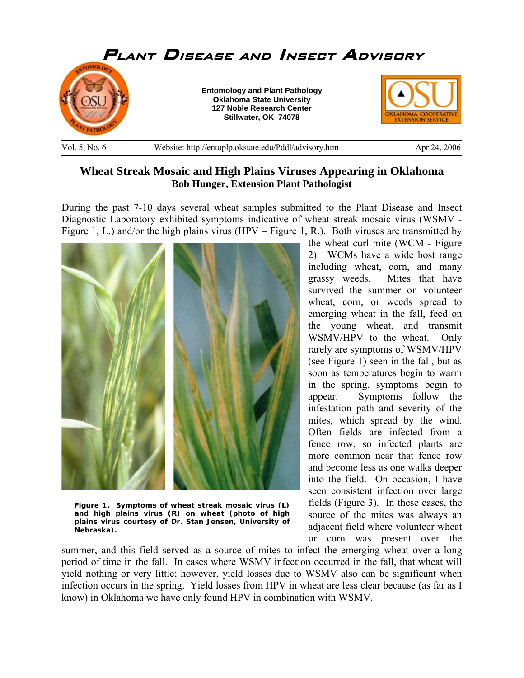

## **Wheat Streak Mosaic and High Plains Viruses Appearing in Oklahoma Bob Hunger, Extension Plant Pathologist**

During the past 7-10 days several wheat samples submitted to the Plant Disease and Insect Diagnostic Laboratory exhibited symptoms indicative of wheat streak mosaic virus (WSMV - Figure 1, L.) and/or the high plains virus (HPV – Figure 1, R.). Both viruses are transmitted by



**Figure 1. Symptoms of wheat streak mosaic virus (L) and high plains virus (R) on wheat (photo of high plains virus courtesy of Dr. Stan Jensen, University of Nebraska).**

the wheat curl mite (WCM - Figure 2). WCMs have a wide host range including wheat, corn, and many grassy weeds. Mites that have survived the summer on volunteer wheat, corn, or weeds spread to emerging wheat in the fall, feed on the young wheat, and transmit WSMV/HPV to the wheat. Only rarely are symptoms of WSMV/HPV (see Figure 1) seen in the fall, but as soon as temperatures begin to warm in the spring, symptoms begin to appear. Symptoms follow the infestation path and severity of the mites, which spread by the wind. Often fields are infected from a fence row, so infected plants are more common near that fence row and become less as one walks deeper into the field. On occasion, I have seen consistent infection over large fields (Figure 3). In these cases, the source of the mites was always an adjacent field where volunteer wheat or corn was present over the

summer, and this field served as a source of mites to infect the emerging wheat over a long period of time in the fall. In cases where WSMV infection occurred in the fall, that wheat will yield nothing or very little; however, yield losses due to WSMV also can be significant when infection occurs in the spring. Yield losses from HPV in wheat are less clear because (as far as I know) in Oklahoma we have only found HPV in combination with WSMV.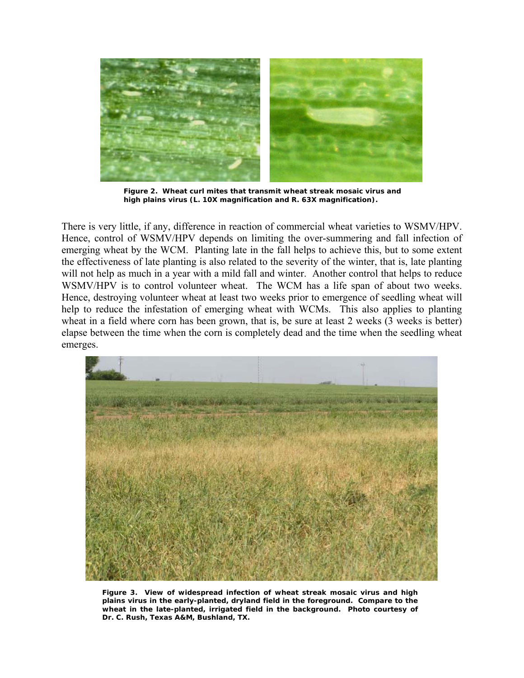

**Figure 2. Wheat curl mites that transmit wheat streak mosaic virus and high plains virus (L. 10X magnification and R. 63X magnification).** 

There is very little, if any, difference in reaction of commercial wheat varieties to WSMV/HPV. Hence, control of WSMV/HPV depends on limiting the over-summering and fall infection of emerging wheat by the WCM. Planting late in the fall helps to achieve this, but to some extent the effectiveness of late planting is also related to the severity of the winter, that is, late planting will not help as much in a year with a mild fall and winter. Another control that helps to reduce WSMV/HPV is to control volunteer wheat. The WCM has a life span of about two weeks. Hence, destroying volunteer wheat at least two weeks prior to emergence of seedling wheat will help to reduce the infestation of emerging wheat with WCMs. This also applies to planting wheat in a field where corn has been grown, that is, be sure at least 2 weeks (3 weeks is better) elapse between the time when the corn is completely dead and the time when the seedling wheat emerges.



**Figure 3. View of widespread infection of wheat streak mosaic virus and high plains virus in the early-planted, dryland field in the foreground. Compare to the wheat in the late-planted, irrigated field in the background. Photo courtesy of Dr. C. Rush, Texas A&M, Bushland, TX.**